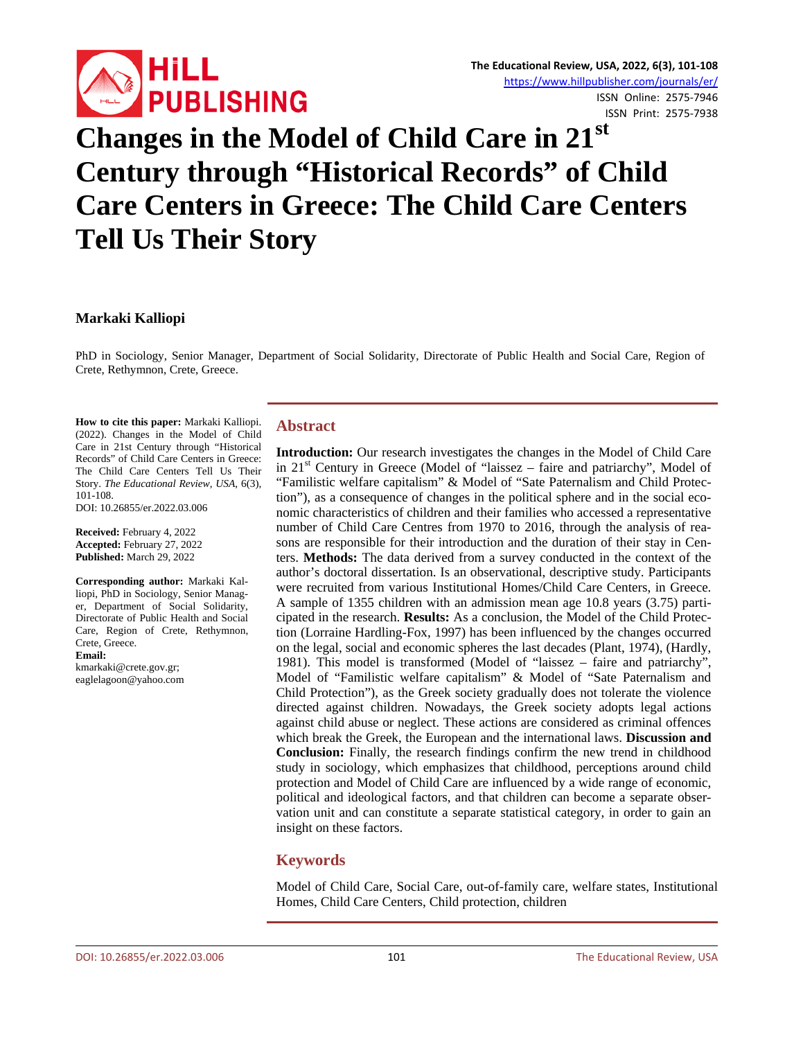

# **Changes in the Model of Child Care in 21st Century through "Historical Records" of Child Care Centers in Greece: The Child Care Centers Tell Us Their Story**

#### **Markaki Kalliopi**

PhD in Sociology, Senior Manager, Department of Social Solidarity, Directorate of Public Health and Social Care, Region of Crete, Rethymnon, Crete, Greece.

**How to cite this paper:** Markaki Kalliopi. (2022). Changes in the Model of Child Care in 21st Century through "Historical Records" of Child Care Centers in Greece: The Child Care Centers Tell Us Their Story. *The Educational Review, USA*, 6(3), 101-108.

DOI: 10.26855/er.2022.03.006

**Received:** February 4, 2022 **Accepted:** February 27, 2022 **Published:** March 29, 2022

**Corresponding author:** Markaki Kalliopi, PhD in Sociology, Senior Manager, Department of Social Solidarity, Directorate of Public Health and Social Care, Region of Crete, Rethymnon, Crete, Greece. **Email:**

kmarkaki@crete.gov.gr; eaglelagoon@yahoo.com

#### **Abstract**

**Introduction:** Our research investigates the changes in the Model of Child Care in  $21<sup>st</sup>$  Century in Greece (Model of "laissez – faire and patriarchy", Model of "Familistic welfare capitalism" & Model of "Sate Paternalism and Child Protection"), as a consequence of changes in the political sphere and in the social economic characteristics of children and their families who accessed a representative number of Child Care Centres from 1970 to 2016, through the analysis of reasons are responsible for their introduction and the duration of their stay in Centers. **Methods:** The data derived from a survey conducted in the context of the author's doctoral dissertation. Is an observational, descriptive study. Participants were recruited from various Institutional Homes/Child Care Centers, in Greece. A sample of 1355 children with an admission mean age 10.8 years (3.75) participated in the research. **Results:** As a conclusion, the Model of the Child Protection (Lorraine Hardling-Fox, 1997) has been influenced by the changes occurred on the legal, social and economic spheres the last decades (Plant, 1974), (Hardly, 1981). This model is transformed (Model of "laissez – faire and patriarchy", Model of "Familistic welfare capitalism" & Model of "Sate Paternalism and Child Protection"), as the Greek society gradually does not tolerate the violence directed against children. Nowadays, the Greek society adopts legal actions against child abuse or neglect. These actions are considered as criminal offences which break the Greek, the European and the international laws. **Discussion and Conclusion:** Finally, the research findings confirm the new trend in childhood study in sociology, which emphasizes that childhood, perceptions around child protection and Model of Child Care are influenced by a wide range of economic, political and ideological factors, and that children can become a separate observation unit and can constitute a separate statistical category, in order to gain an insight on these factors.

## **Keywords**

Model of Child Care, Social Care, out-of-family care, welfare states, Institutional Homes, Child Care Centers, Child protection, children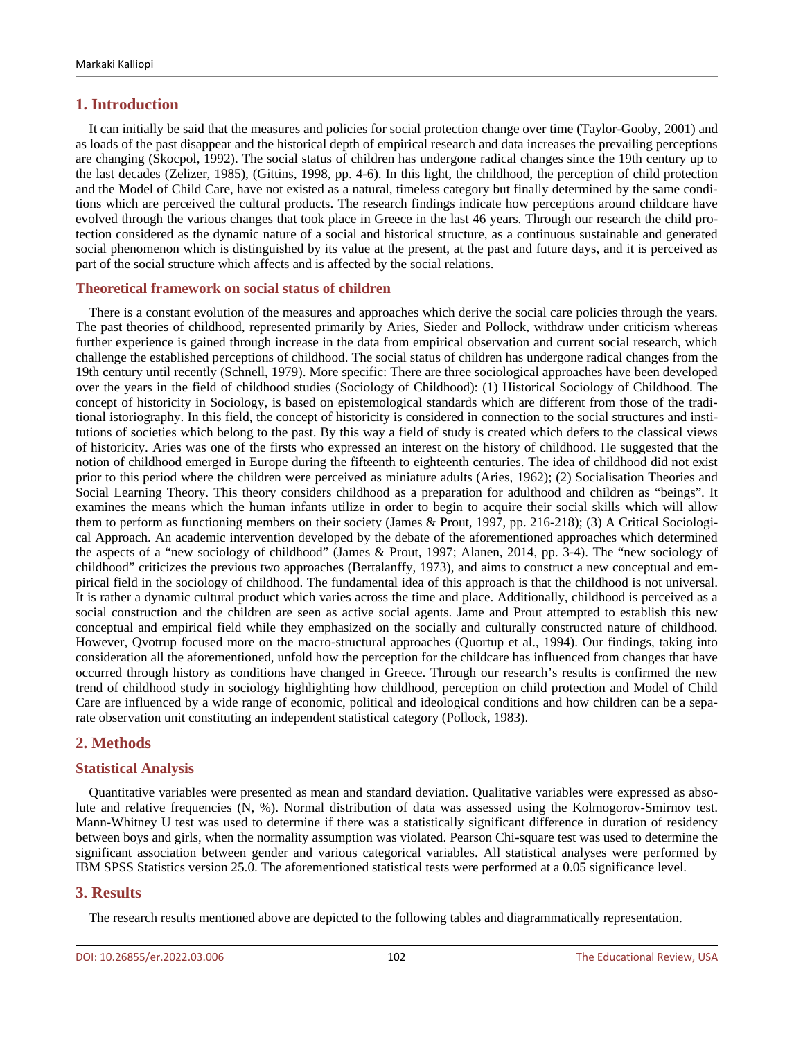## **1. Introduction**

It can initially be said that the measures and policies for social protection change over time (Taylor-Gooby, 2001) and as loads of the past disappear and the historical depth of empirical research and data increases the prevailing perceptions are changing (Skocpol, 1992). The social status of children has undergone radical changes since the 19th century up to the last decades (Zelizer, 1985), (Gittins, 1998, pp. 4-6). In this light, the childhood, the perception of child protection and the Model of Child Care, have not existed as a natural, timeless category but finally determined by the same conditions which are perceived the cultural products. The research findings indicate how perceptions around childcare have evolved through the various changes that took place in Greece in the last 46 years. Through our research the child protection considered as the dynamic nature of a social and historical structure, as a continuous sustainable and generated social phenomenon which is distinguished by its value at the present, at the past and future days, and it is perceived as part of the social structure which affects and is affected by the social relations.

#### **Theoretical framework on social status of children**

There is a constant evolution of the measures and approaches which derive the social care policies through the years. The past theories of childhood, represented primarily by Aries, Sieder and Pollock, withdraw under criticism whereas further experience is gained through increase in the data from empirical observation and current social research, which challenge the established perceptions of childhood. The social status of children has undergone radical changes from the 19th century until recently (Schnell, 1979). More specific: There are three sociological approaches have been developed over the years in the field of childhood studies (Sociology of Childhood): (1) Historical Sociology of Childhood. The concept of historicity in Sociology, is based on epistemological standards which are different from those of the traditional istoriography. In this field, the concept of historicity is considered in connection to the social structures and institutions of societies which belong to the past. By this way a field of study is created which defers to the classical views of historicity. Aries was one of the firsts who expressed an interest on the history of childhood. He suggested that the notion of childhood emerged in Europe during the fifteenth to eighteenth centuries. The idea of childhood did not exist prior to this period where the children were perceived as miniature adults (Aries, 1962); (2) Socialisation Theories and Social Learning Theory. This theory considers childhood as a preparation for adulthood and children as "beings". It examines the means which the human infants utilize in order to begin to acquire their social skills which will allow them to perform as functioning members on their society (James & Prout, 1997, pp. 216-218); (3) A Critical Sociological Approach. An academic intervention developed by the debate of the aforementioned approaches which determined the aspects of a "new sociology of childhood" (James & Prout, 1997; Alanen, 2014, pp. 3-4). The "new sociology of childhood" criticizes the previous two approaches (Bertalanffy, 1973), and aims to construct a new conceptual and empirical field in the sociology of childhood. The fundamental idea of this approach is that the childhood is not universal. It is rather a dynamic cultural product which varies across the time and place. Additionally, childhood is perceived as a social construction and the children are seen as active social agents. Jame and Prout attempted to establish this new conceptual and empirical field while they emphasized on the socially and culturally constructed nature of childhood. However, Qvotrup focused more on the macro-structural approaches (Quortup et al., 1994). Our findings, taking into consideration all the aforementioned, unfold how the perception for the childcare has influenced from changes that have occurred through history as conditions have changed in Greece. Through our research's results is confirmed the new trend of childhood study in sociology highlighting how childhood, perception on child protection and Model of Child Care are influenced by a wide range of economic, political and ideological conditions and how children can be a separate observation unit constituting an independent statistical category (Pollock, 1983).

## **2. Methods**

## **Statistical Analysis**

Quantitative variables were presented as mean and standard deviation. Qualitative variables were expressed as absolute and relative frequencies (N, %). Normal distribution of data was assessed using the Kolmogorov-Smirnov test. Mann-Whitney U test was used to determine if there was a statistically significant difference in duration of residency between boys and girls, when the normality assumption was violated. Pearson Chi-square test was used to determine the significant association between gender and various categorical variables. All statistical analyses were performed by IBM SPSS Statistics version 25.0. The aforementioned statistical tests were performed at a 0.05 significance level.

## **3. Results**

The research results mentioned above are depicted to the following tables and diagrammatically representation.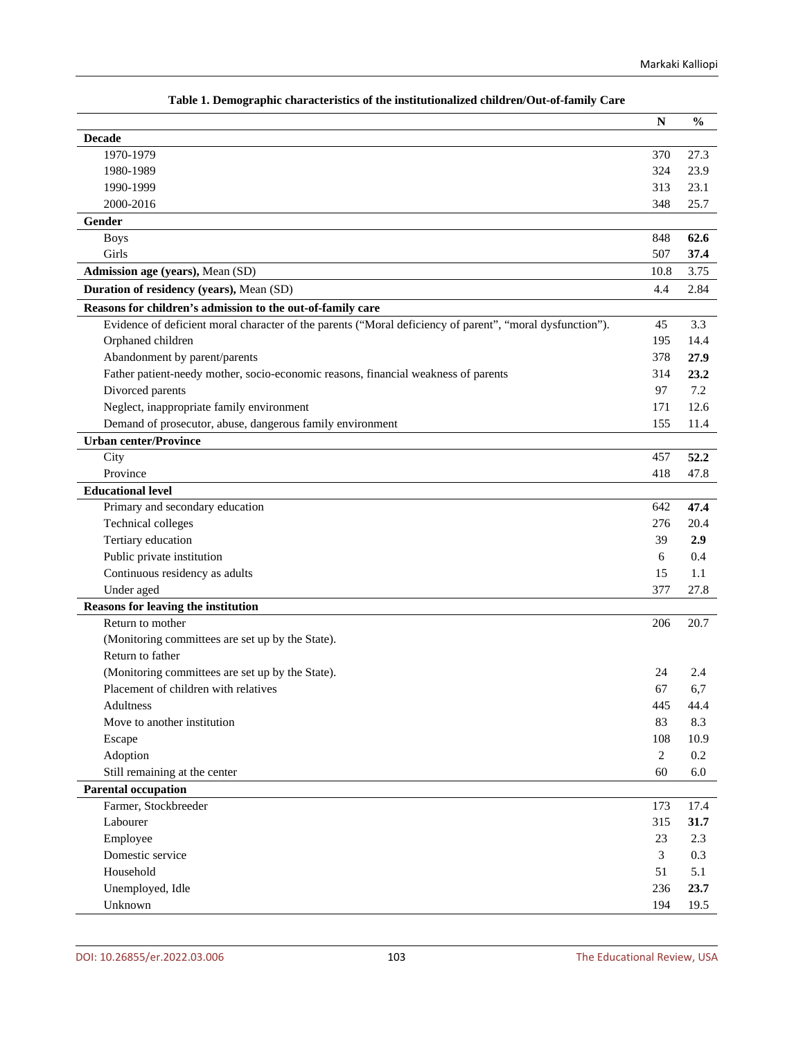| гаріс 1. Demographic enaracteristics ог піс тізпіціюнандси енциген Ойі-ог-танніў                          | ${\bf N}$      | $\frac{0}{0}$ |
|-----------------------------------------------------------------------------------------------------------|----------------|---------------|
| <b>Decade</b>                                                                                             |                |               |
| 1970-1979                                                                                                 | 370            | 27.3          |
| 1980-1989                                                                                                 | 324            | 23.9          |
| 1990-1999                                                                                                 | 313            | 23.1          |
| 2000-2016                                                                                                 | 348            | 25.7          |
| Gender                                                                                                    |                |               |
| <b>Boys</b>                                                                                               | 848            | 62.6          |
| Girls                                                                                                     | 507            | 37.4          |
| Admission age (years), Mean (SD)                                                                          | 10.8           | 3.75          |
| Duration of residency (years), Mean (SD)                                                                  | 4.4            | 2.84          |
| Reasons for children's admission to the out-of-family care                                                |                |               |
| Evidence of deficient moral character of the parents ("Moral deficiency of parent", "moral dysfunction"). | 45             | 3.3           |
| Orphaned children                                                                                         | 195            | 14.4          |
| Abandonment by parent/parents                                                                             | 378            | 27.9          |
| Father patient-needy mother, socio-economic reasons, financial weakness of parents                        | 314            | 23.2          |
| Divorced parents                                                                                          | 97             | 7.2           |
| Neglect, inappropriate family environment                                                                 | 171            | 12.6          |
| Demand of prosecutor, abuse, dangerous family environment                                                 | 155            | 11.4          |
| <b>Urban center/Province</b>                                                                              |                |               |
| City                                                                                                      | 457            | 52.2          |
| Province                                                                                                  | 418            | 47.8          |
| <b>Educational level</b>                                                                                  |                |               |
| Primary and secondary education                                                                           | 642            | 47.4          |
| Technical colleges                                                                                        | 276            | 20.4          |
| Tertiary education                                                                                        | 39             | 2.9           |
| Public private institution                                                                                | 6              | 0.4           |
| Continuous residency as adults                                                                            | 15             | 1.1           |
| Under aged                                                                                                | 377            | 27.8          |
| Reasons for leaving the institution                                                                       |                |               |
| Return to mother                                                                                          | 206            | 20.7          |
| (Monitoring committees are set up by the State).                                                          |                |               |
| Return to father                                                                                          |                |               |
| (Monitoring committees are set up by the State).                                                          | 24             | 2.4           |
| Placement of children with relatives                                                                      | 67             | 6,7           |
| Adultness                                                                                                 | 445            | 44.4          |
| Move to another institution                                                                               | 83             | 8.3           |
| Escape                                                                                                    | 108            | 10.9          |
| Adoption                                                                                                  | $\overline{2}$ | 0.2           |
| Still remaining at the center                                                                             | 60             | 6.0           |
| <b>Parental occupation</b>                                                                                |                |               |
| Farmer, Stockbreeder                                                                                      | 173            | 17.4          |
| Labourer                                                                                                  | 315            | 31.7          |
| Employee                                                                                                  | 23             | 2.3           |
| Domestic service                                                                                          | 3              | 0.3           |
| Household                                                                                                 | 51             | 5.1           |
| Unemployed, Idle                                                                                          | 236            | 23.7          |
| Unknown                                                                                                   | 194            | 19.5          |

## **Table 1. Demographic characteristics of the institutionalized children/Out-of-family Care**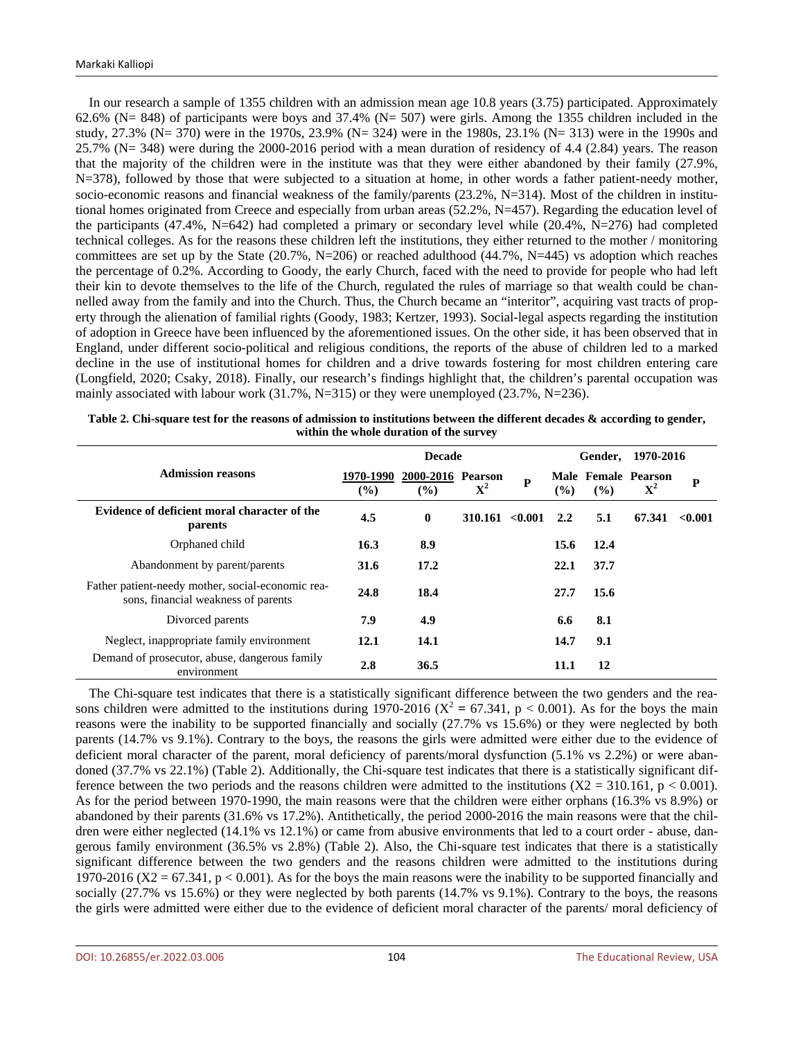In our research a sample of 1355 children with an admission mean age 10.8 years (3.75) participated. Approximately 62.6% (N= 848) of participants were boys and 37.4% (N= 507) were girls. Among the 1355 children included in the study, 27.3% (N= 370) were in the 1970s, 23.9% (N= 324) were in the 1980s, 23.1% (N= 313) were in the 1990s and 25.7% (N= 348) were during the 2000-2016 period with a mean duration of residency of 4.4 (2.84) years. The reason that the majority of the children were in the institute was that they were either abandoned by their family (27.9%, N=378), followed by those that were subjected to a situation at home, in other words a father patient-needy mother, socio-economic reasons and financial weakness of the family/parents (23.2%, N=314). Most of the children in institutional homes originated from Creece and especially from urban areas (52.2%, N=457). Regarding the education level of the participants (47.4%, N=642) had completed a primary or secondary level while (20.4%, N=276) had completed technical colleges. As for the reasons these children left the institutions, they either returned to the mother / monitoring committees are set up by the State (20.7%, N=206) or reached adulthood (44.7%, N=445) vs adoption which reaches the percentage of 0.2%. According to Goody, the early Church, faced with the need to provide for people who had left their kin to devote themselves to the life of the Church, regulated the rules of marriage so that wealth could be channelled away from the family and into the Church. Thus, the Church became an "interitor", acquiring vast tracts of property through the alienation of familial rights (Goody, 1983; Kertzer, 1993). Social-legal aspects regarding the institution of adoption in Greece have been influenced by the aforementioned issues. On the other side, it has been observed that in England, under different socio-political and religious conditions, the reports of the abuse of children led to a marked decline in the use of institutional homes for children and a drive towards fostering for most children entering care (Longfield, 2020; Csaky, 2018). Finally, our research's findings highlight that, the children's parental occupation was mainly associated with labour work  $(31.7\%, N=315)$  or they were unemployed  $(23.7\%, N=236)$ .

|                                                                                          |                            |                          | Gender,         | 1970-2016 |      |                            |                                    |         |
|------------------------------------------------------------------------------------------|----------------------------|--------------------------|-----------------|-----------|------|----------------------------|------------------------------------|---------|
| <b>Admission reasons</b>                                                                 | 1970-1990<br>$\frac{9}{6}$ | 2000-2016 Pearson<br>(%) | ${\bf X}^2$     | ${\bf P}$ | (%)  | $\left(\frac{0}{0}\right)$ | Male Female Pearson<br>${\bf X}^2$ | P       |
| Evidence of deficient moral character of the<br>parents                                  | 4.5                        | $\bf{0}$                 | 310.161 < 0.001 |           | 2.2  | 5.1                        | 67.341                             | < 0.001 |
| Orphaned child                                                                           | 16.3                       | 8.9                      |                 |           | 15.6 | 12.4                       |                                    |         |
| Abandonment by parent/parents                                                            | 31.6                       | 17.2                     |                 |           | 22.1 | 37.7                       |                                    |         |
| Father patient-needy mother, social-economic rea-<br>sons, financial weakness of parents | 24.8                       | 18.4                     |                 |           | 27.7 | 15.6                       |                                    |         |
| Divorced parents                                                                         | 7.9                        | 4.9                      |                 |           | 6.6  | 8.1                        |                                    |         |
| Neglect, inappropriate family environment                                                | 12.1                       | 14.1                     |                 |           | 14.7 | 9.1                        |                                    |         |
| Demand of prosecutor, abuse, dangerous family<br>environment                             | 2.8                        | 36.5                     |                 |           | 11.1 | 12                         |                                    |         |

| Table 2. Chi-square test for the reasons of admission to institutions between the different decades $\&$ according to gender, |
|-------------------------------------------------------------------------------------------------------------------------------|
| within the whole duration of the survey                                                                                       |

The Chi-square test indicates that there is a statistically significant difference between the two genders and the reasons children were admitted to the institutions during 1970-2016 ( $X^2 = 67.341$ , p < 0.001). As for the boys the main reasons were the inability to be supported financially and socially (27.7% vs 15.6%) or they were neglected by both parents (14.7% vs 9.1%). Contrary to the boys, the reasons the girls were admitted were either due to the evidence of deficient moral character of the parent, moral deficiency of parents/moral dysfunction (5.1% vs 2.2%) or were abandoned (37.7% vs 22.1%) (Table 2). Additionally, the Chi-square test indicates that there is a statistically significant difference between the two periods and the reasons children were admitted to the institutions  $(X2 = 310.161, p < 0.001)$ . As for the period between 1970-1990, the main reasons were that the children were either orphans (16.3% vs 8.9%) or abandoned by their parents (31.6% vs 17.2%). Antithetically, the period 2000-2016 the main reasons were that the children were either neglected (14.1% vs 12.1%) or came from abusive environments that led to a court order - abuse, dangerous family environment (36.5% vs 2.8%) (Table 2). Also, the Chi-square test indicates that there is a statistically significant difference between the two genders and the reasons children were admitted to the institutions during 1970-2016 ( $X2 = 67.341$ ,  $p < 0.001$ ). As for the boys the main reasons were the inability to be supported financially and socially (27.7% vs 15.6%) or they were neglected by both parents (14.7% vs 9.1%). Contrary to the boys, the reasons the girls were admitted were either due to the evidence of deficient moral character of the parents/ moral deficiency of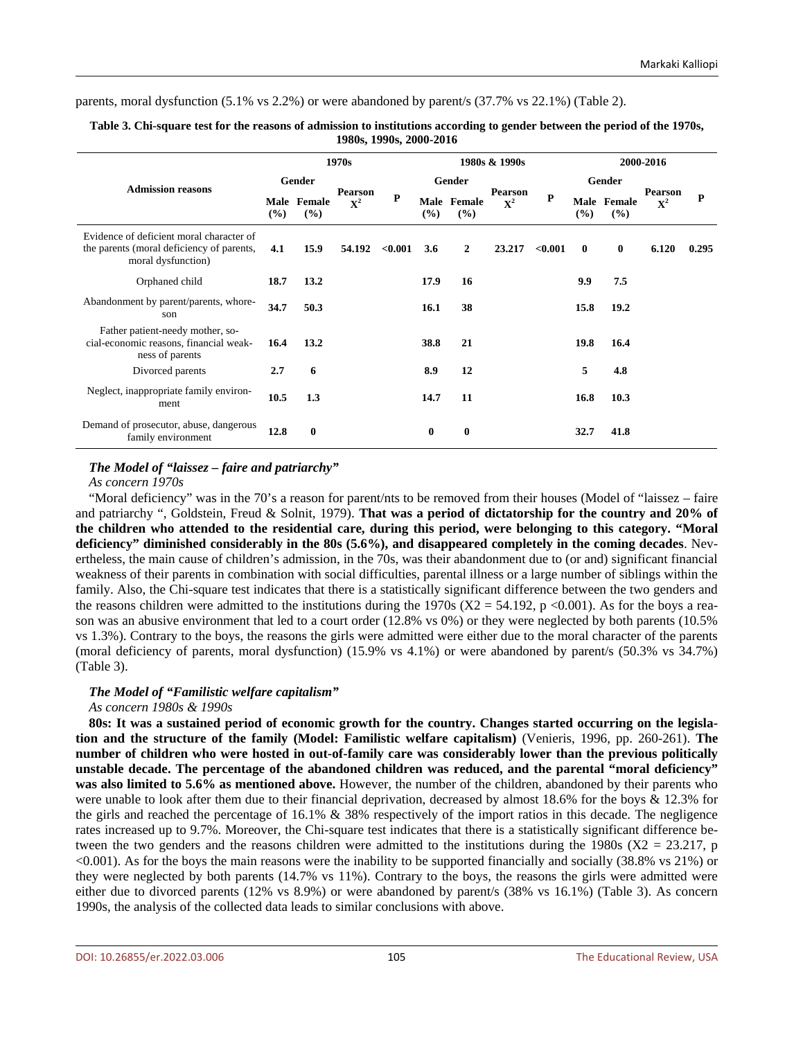parents, moral dysfunction (5.1% vs 2.2%) or were abandoned by parent/s (37.7% vs 22.1%) (Table 2).

| 1,0000, 1,7000, 2000                                                                                        |        |                    |                                  |               |          |                    |                               |           |              |                    |                           |             |
|-------------------------------------------------------------------------------------------------------------|--------|--------------------|----------------------------------|---------------|----------|--------------------|-------------------------------|-----------|--------------|--------------------|---------------------------|-------------|
|                                                                                                             | 1970s  |                    |                                  | 1980s & 1990s |          |                    |                               | 2000-2016 |              |                    |                           |             |
| <b>Admission reasons</b>                                                                                    | Gender |                    |                                  |               | Gender   |                    |                               |           | Gender       |                    |                           |             |
|                                                                                                             | (%)    | Male Female<br>(%) | <b>Pearson</b><br>$\mathbf{X}^2$ | ${\bf P}$     | $(\%)$   | Male Female<br>(%) | <b>Pearson</b><br>${\bf X}^2$ | P         | (%)          | Male Female<br>(%) | Pearson<br>$\mathbf{X}^2$ | $\mathbf P$ |
| Evidence of deficient moral character of<br>the parents (moral deficiency of parents,<br>moral dysfunction) | 4.1    | 15.9               | 54.192                           | $<\!\!0.001$  | 3.6      | $\overline{2}$     | 23.217                        | < 0.001   | $\mathbf{0}$ | $\bf{0}$           | 6.120                     | 0.295       |
| Orphaned child                                                                                              | 18.7   | 13.2               |                                  |               | 17.9     | 16                 |                               |           | 9.9          | 7.5                |                           |             |
| Abandonment by parent/parents, whore-<br>son                                                                | 34.7   | 50.3               |                                  |               | 16.1     | 38                 |                               |           | 15.8         | 19.2               |                           |             |
| Father patient-needy mother, so-<br>cial-economic reasons, financial weak-<br>ness of parents               | 16.4   | 13.2               |                                  |               | 38.8     | 21                 |                               |           | 19.8         | 16.4               |                           |             |
| Divorced parents                                                                                            | 2.7    | 6                  |                                  |               | 8.9      | 12                 |                               |           | 5            | 4.8                |                           |             |
| Neglect, inappropriate family environ-<br>ment                                                              | 10.5   | 1.3                |                                  |               | 14.7     | 11                 |                               |           | 16.8         | 10.3               |                           |             |
| Demand of prosecutor, abuse, dangerous<br>family environment                                                | 12.8   | $\mathbf{0}$       |                                  |               | $\bf{0}$ | $\bf{0}$           |                               |           | 32.7         | 41.8               |                           |             |

**Table 3. Chi-square test for the reasons of admission to institutions according to gender between the period of the 1970s, 1980s, 1990s, 2000-2016**

#### *The Model of "laissez – faire and patriarchy"*

## *As concern 1970s*

"Moral deficiency" was in the 70's a reason for parent/nts to be removed from their houses (Model of "laissez – faire and patriarchy ", Goldstein, Freud & Solnit, 1979). **That was a period of dictatorship for the country and 20% of the children who attended to the residential care, during this period, were belonging to this category. "Moral deficiency" diminished considerably in the 80s (5.6%), and disappeared completely in the coming decades**. Nevertheless, the main cause of children's admission, in the 70s, was their abandonment due to (or and) significant financial weakness of their parents in combination with social difficulties, parental illness or a large number of siblings within the family. Also, the Chi-square test indicates that there is a statistically significant difference between the two genders and the reasons children were admitted to the institutions during the 1970s ( $X2 = 54.192$ , p <0.001). As for the boys a reason was an abusive environment that led to a court order (12.8% vs 0%) or they were neglected by both parents (10.5% vs 1.3%). Contrary to the boys, the reasons the girls were admitted were either due to the moral character of the parents (moral deficiency of parents, moral dysfunction) (15.9% vs 4.1%) or were abandoned by parent/s (50.3% vs 34.7%) (Table 3).

#### *The Model of "Familistic welfare capitalism"*

#### *As concern 1980s & 1990s*

**80s: It was a sustained period of economic growth for the country. Changes started occurring on the legislation and the structure of the family (Model: Familistic welfare capitalism)** (Venieris, 1996, pp. 260-261). **The number of children who were hosted in out-of-family care was considerably lower than the previous politically unstable decade. The percentage of the abandoned children was reduced, and the parental "moral deficiency" was also limited to 5.6% as mentioned above.** However, the number of the children, abandoned by their parents who were unable to look after them due to their financial deprivation, decreased by almost 18.6% for the boys & 12.3% for the girls and reached the percentage of 16.1% & 38% respectively of the import ratios in this decade. The negligence rates increased up to 9.7%. Moreover, the Chi-square test indicates that there is a statistically significant difference between the two genders and the reasons children were admitted to the institutions during the 1980s ( $X2 = 23.217$ , p <0.001). As for the boys the main reasons were the inability to be supported financially and socially (38.8% vs 21%) or they were neglected by both parents (14.7% vs 11%). Contrary to the boys, the reasons the girls were admitted were either due to divorced parents (12% vs 8.9%) or were abandoned by parent/s (38% vs 16.1%) (Table 3). As concern 1990s, the analysis of the collected data leads to similar conclusions with above.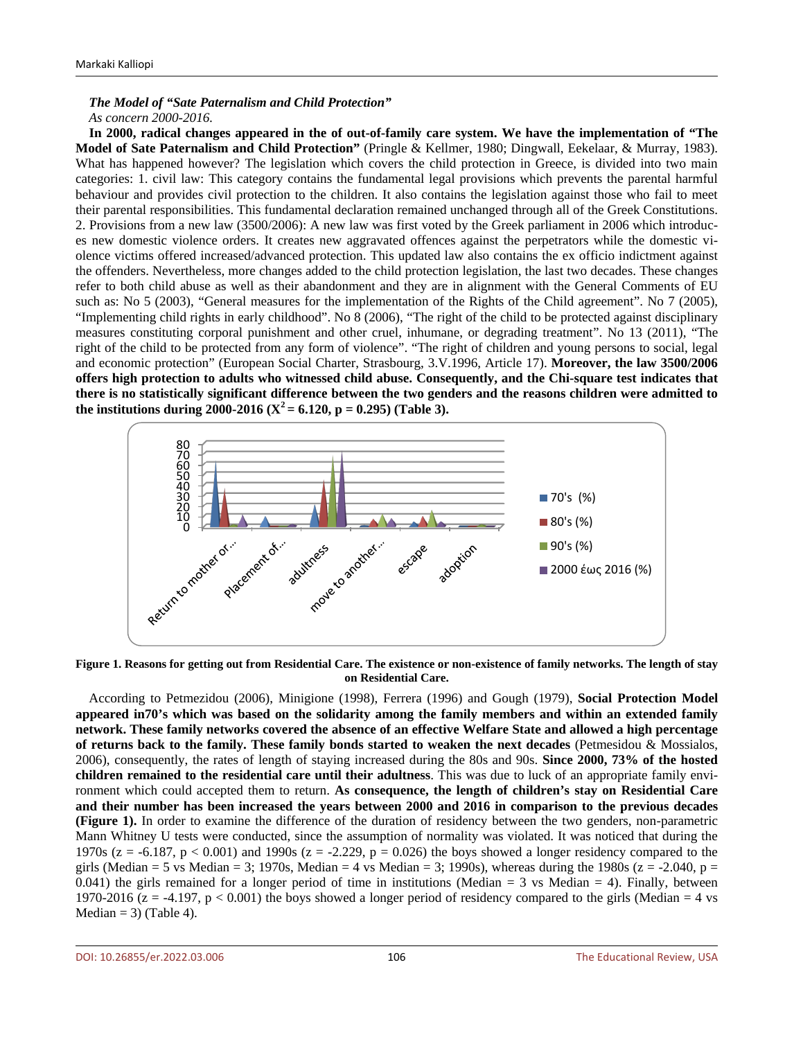#### *The Model of "Sate Paternalism and Child Protection" As concern 2000-2016.*

**In 2000, radical changes appeared in the of out-of-family care system. We have the implementation of "The Model of Sate Paternalism and Child Protection"** (Pringle & Kellmer, 1980; Dingwall, Eekelaar, & Murray, 1983). What has happened however? The legislation which covers the child protection in Greece, is divided into two main categories: 1. civil law: This category contains the fundamental legal provisions which prevents the parental harmful behaviour and provides civil protection to the children. It also contains the legislation against those who fail to meet their parental responsibilities. This fundamental declaration remained unchanged through all of the Greek Constitutions. 2. Provisions from a new law (3500/2006): A new law was first voted by the Greek parliament in 2006 which introduces new domestic violence orders. It creates new aggravated offences against the perpetrators while the domestic violence victims offered increased/advanced protection. This updated law also contains the ex officio indictment against the offenders. Nevertheless, more changes added to the child protection legislation, the last two decades. These changes refer to both child abuse as well as their abandonment and they are in alignment with the General Comments of EU such as: No 5 (2003), "General measures for the implementation of the Rights of the Child agreement". No 7 (2005), "Implementing child rights in early childhood". No 8 (2006), "The right of the child to be protected against disciplinary measures constituting corporal punishment and other cruel, inhumane, or degrading treatment". No 13 (2011), "The right of the child to be protected from any form of violence". "The right of children and young persons to social, legal and economic protection" (European Social Charter, Strasbourg, 3.V.1996, Article 17). **Moreover, the law 3500/2006 offers high protection to adults who witnessed child abuse. Consequently, and the Chi-square test indicates that there is no statistically significant difference between the two genders and the reasons children were admitted to**  the institutions during 2000-2016 ( $X^2 = 6.120$ , p = 0.295) (Table 3).



**Figure 1. Reasons for getting out from Residential Care. The existence or non-existence of family networks. The length of stay on Residential Care.**

According to Petmezidou (2006), Minigione (1998), Ferrera (1996) and Gough (1979), **Social Protection Model appeared in70's which was based on the solidarity among the family members and within an extended family network. These family networks covered the absence of an effective Welfare State and allowed a high percentage of returns back to the family. These family bonds started to weaken the next decades** (Petmesidou & Mossialos, 2006), consequently, the rates of length of staying increased during the 80s and 90s. **Since 2000, 73% of the hosted children remained to the residential care until their adultness**. This was due to luck of an appropriate family environment which could accepted them to return. **As consequence, the length of children's stay on Residential Care and their number has been increased the years between 2000 and 2016 in comparison to the previous decades (Figure 1).** In order to examine the difference of the duration of residency between the two genders, non-parametric Mann Whitney U tests were conducted, since the assumption of normality was violated. It was noticed that during the 1970s ( $z = -6.187$ ,  $p < 0.001$ ) and 1990s ( $z = -2.229$ ,  $p = 0.026$ ) the boys showed a longer residency compared to the girls (Median = 5 vs Median = 3; 1970s, Median = 4 vs Median = 3; 1990s), whereas during the 1980s ( $z = -2.040$ ,  $p =$ 0.041) the girls remained for a longer period of time in institutions (Median  $=$  3 vs Median  $=$  4). Finally, between 1970-2016 ( $z = -4.197$ ,  $p < 0.001$ ) the boys showed a longer period of residency compared to the girls (Median = 4 vs Median  $= 3$ ) (Table 4).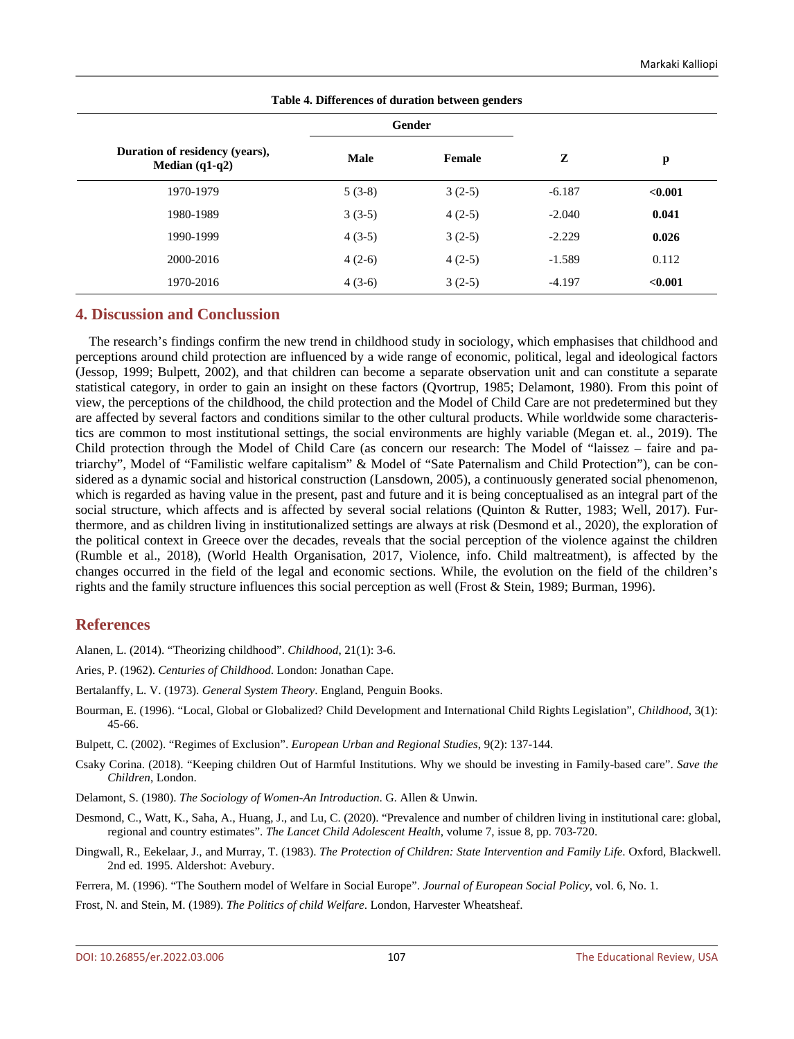| Table 4. Differences of duration between genders   |          |          |          |         |  |  |  |  |
|----------------------------------------------------|----------|----------|----------|---------|--|--|--|--|
|                                                    |          | Gender   |          |         |  |  |  |  |
| Duration of residency (years),<br>Median $(q1-q2)$ | Male     | Female   | Z        | p       |  |  |  |  |
| 1970-1979                                          | $5(3-8)$ | $3(2-5)$ | $-6.187$ | < 0.001 |  |  |  |  |
| 1980-1989                                          | $3(3-5)$ | $4(2-5)$ | $-2.040$ | 0.041   |  |  |  |  |
| 1990-1999                                          | $4(3-5)$ | $3(2-5)$ | $-2.229$ | 0.026   |  |  |  |  |
| 2000-2016                                          | $4(2-6)$ | $4(2-5)$ | $-1.589$ | 0.112   |  |  |  |  |
| 1970-2016                                          | $4(3-6)$ | $3(2-5)$ | $-4.197$ | < 0.001 |  |  |  |  |

#### **4. Discussion and Conclussion**

The research's findings confirm the new trend in childhood study in sociology, which emphasises that childhood and perceptions around child protection are influenced by a wide range of economic, political, legal and ideological factors (Jessop, 1999; Bulpett, 2002), and that children can become a separate observation unit and can constitute a separate statistical category, in order to gain an insight on these factors (Qvortrup, 1985; Delamont, 1980). From this point of view, the perceptions of the childhood, the child protection and the Model of Child Care are not predetermined but they are affected by several factors and conditions similar to the other cultural products. While worldwide some characteristics are common to most institutional settings, the social environments are highly variable (Megan et. al., 2019). The Child protection through the Model of Child Care (as concern our research: The Model of "laissez – faire and patriarchy", Model of "Familistic welfare capitalism" & Model of "Sate Paternalism and Child Protection"), can be considered as a dynamic social and historical construction (Lansdown, 2005), a continuously generated social phenomenon, which is regarded as having value in the present, past and future and it is being conceptualised as an integral part of the social structure, which affects and is affected by several social relations (Quinton & Rutter, 1983; Well, 2017). Furthermore, and as children living in institutionalized settings are always at risk (Desmond et al., 2020), the exploration of the political context in Greece over the decades, reveals that the social perception of the violence against the children (Rumble et al., 2018), (World Health Organisation, 2017, Violence, info. Child maltreatment), is affected by the changes occurred in the field of the legal and economic sections. While, the evolution on the field of the children's rights and the family structure influences this social perception as well (Frost & Stein, 1989; Burman, 1996).

## **References**

Alanen, L. (2014). "Theorizing childhood". *Childhood*, 21(1): 3-6.

Aries, P. (1962). *Centuries of Childhood*. London: Jonathan Cape.

Bertalanffy, L. V. (1973). *General System Theory*. England, Penguin Books.

Bourman, E. (1996). "Local, Global or Globalized? Child Development and International Child Rights Legislation", *Childhood*, 3(1): 45-66.

Bulpett, C. (2002). "Regimes of Exclusion". *European Urban and Regional Studies*, 9(2): 137-144.

Csaky Corina. (2018). "Keeping children Out of Harmful Institutions. Why we should be investing in Family-based care". *Save the Children*, London.

Delamont, S. (1980). *The Sociology of Women-An Introduction*. G. Allen & Unwin.

Desmond, C., Watt, K., Saha, A., Huang, J., and Lu, C. (2020). "Prevalence and number of children living in institutional care: global, regional and country estimates". *The Lancet Child Adolescent Health*, volume 7, issue 8, pp. 703-720.

Dingwall, R., Eekelaar, J., and Murray, T. (1983). *The Protection of Children: State Intervention and Family Life*. Oxford, Blackwell. 2nd ed. 1995. Aldershot: Avebury.

Ferrera, M. (1996). "The Southern model of Welfare in Social Europe". *Journal of European Social Policy*, vol. 6, No. 1.

Frost, N. and Stein, M. (1989). *The Politics of child Welfare*. London, Harvester Wheatsheaf.